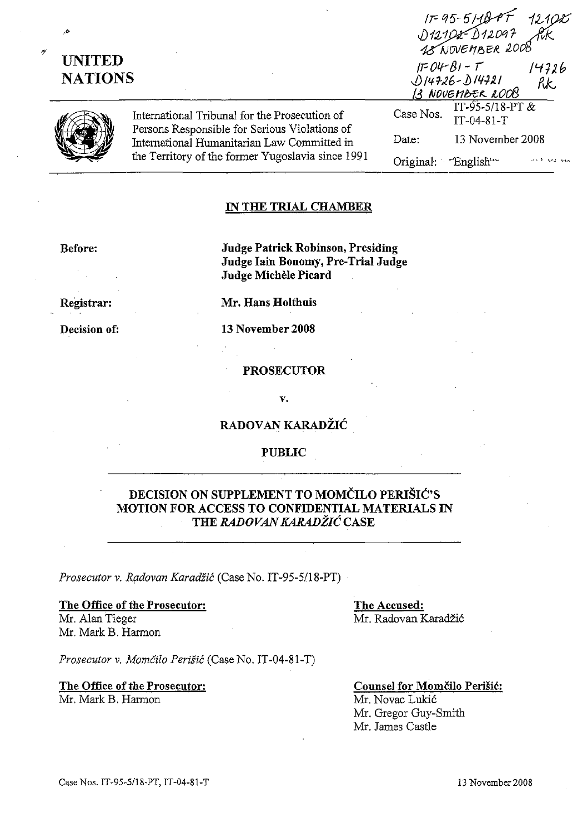| n, | <b>UNITED</b> | <b>NATIONS</b>                                                                                                                                                                                     |                                | IF 95-5118-PF 121025<br>D12102-D12097 RK<br>12 NOVEMBER 2008<br>$IFOM-BI-T$<br>14726<br>$014726 - 014721$<br>RK<br>13 NOVEMBER 2008 |  |
|----|---------------|----------------------------------------------------------------------------------------------------------------------------------------------------------------------------------------------------|--------------------------------|-------------------------------------------------------------------------------------------------------------------------------------|--|
|    |               | International Tribunal for the Prosecution of<br>Persons Responsible for Serious Violations of<br>International Humanitarian Law Committed in<br>the Territory of the former Yugoslavia since 1991 | Case Nos.                      | IT-95-5/18-PT $&$<br>$IT-04-81-T$                                                                                                   |  |
|    |               |                                                                                                                                                                                                    | Date:                          | 13 November 2008                                                                                                                    |  |
|    |               |                                                                                                                                                                                                    | Original: English <sup>'</sup> |                                                                                                                                     |  |

### IN THE TRIAL CHAMBER

Before:

Judge Patrick Robinson, Presiding Judge Iain Bonomy, Pre-Trial Jndge Judge Michele Picard

Registrar:

Decision of:

Mr. Hans Holthuis

13 November 2008

PROSECUTOR

V.

## RADOVAN KARADŽIĆ

#### PUBLIC

# DECISION ON SUPPLEMENT TO MOMČILO PERIŠIĆ'S MOTION FOR ACCESS TO CONFIDENTIAL MATERIALS IN THE *RADOVAN* KARADŽIĆCASE

*Prosecutor* v. *Radovan* Karadžić (Case No. IT-95-5/18-PT)

## The Office of the Prosecutor: Mr. Alan Tieger

Mr. Mark B. Harmon

The Accused: Mr. Radovan Karadžić

Mr. James Castle

*Prosecutor v.* Momčilo Perišić (Case No. IT-04-81-T)

The Office of the Prosecutor: Mr.Mark B. Harmon

Counsel for Momčilo Perišić: Mr. Novac Lukić Mr. Gregor Guy-Smith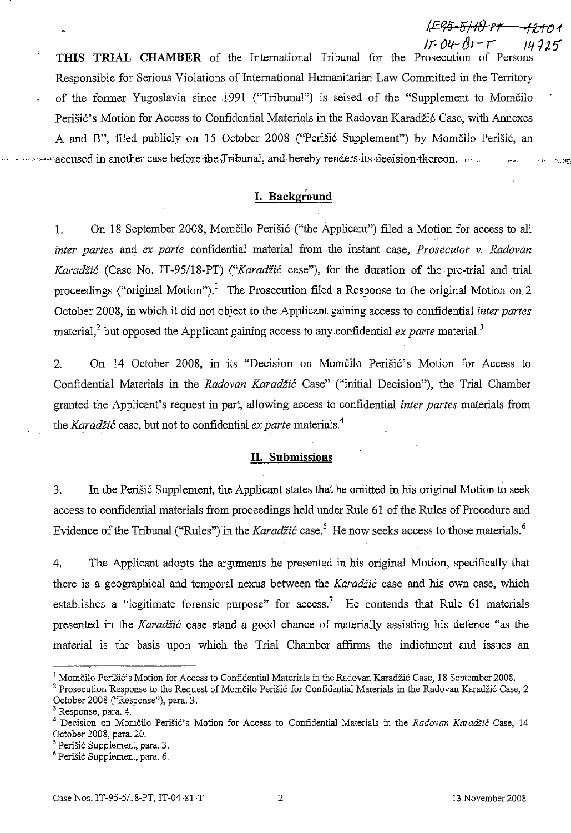!CE% *5/-ff) Pl"* ·tlJ01  $I - 04 - 01 - T$   $14915$ 

**THIS TRIAL CHAMBER** of the International Tribunal for the Prosecution of Persons Responsible for Serious Violations of International Humanitarian Law Committed in the Territory of the former Yugoslavia since 1991 ("Tribunal") is seised of the "Supplement to Momčilo Perišić's Motion for Access to Confidential Materials in the Radovan Karadžić Case, with Annexes A and B", filed publicly on 15 October 2008 ("Perišić Supplement") by Momčilo Perišić, an where accused in another case before-the-Tribunal, and hereby renders-its decision-thereon. .,,,  $\epsilon \in \mathbb{C}$  ,  $\exp(\frac{1}{2} \frac{1}{2} \frac{1}{2})$ 

# **I. Background**

l, On 18 September 2008, Momčilo Perišić ("the Applicant") filed a Motion for access to all *inter partes* and *ex parte* confidential material from the instant case, *Prosecutor v, Radovan* Karadžić (Case No, IT-95/l8-PT) ("Karadžić case"), for the duration of the pre-trial and trial proceedings ("original Motion").<sup>1</sup> The Prosecution filed a Response to the original Motion on 2 October 2008, in which it did not object to the Applicant gaining access to confidential *inter partes* material,<sup>2</sup> but opposed the Applicant gaining access to any confidential *ex parte* material.<sup>3</sup>

2. On 14 October 2008, in its "Decision on Momčilo Perišić's Motion for Access to Confidential Materials in the *Radovan* Karadžić Case" ("initial Decision"), the Trial Chamber granted the Applicant' s request in part, allowing access to confidential *inter partes* materials from the Karadžić case, but not to confidential *ex parte* materials.<sup>4</sup>

## **II. Submissions**

3. In the Perišić Supplement, the Applicant states that he omitted in his original Motion to seek access to confidential materials from proceedings held under Rule 61 of the Rules of Procedure and Evidence of the Tribunal ("Rules") in the Karadžić case.<sup>5</sup> He now seeks access to those materials.<sup>6</sup>

4. The Applicant adopts the arguments he presented in his original Motion, specifically that there is a geographical and temporal nexus between the Karadžić case and his own case, which establishes a "legitimate forensic purpose" for access.<sup>7</sup> He contends that Rule 61 materials presented in the Karadžić case stand a good chance of materially assisting his defence "as the material is the basis upon which the Trial Chamber affirms the indictment and issues an

<sup>&</sup>lt;sup>1</sup> Momčilo Perišić's Motion for Access to Confidential Materials in the Radovan Karadžić Case, 18 September 2008.

<sup>&</sup>lt;sup>2</sup> Prosecution Response to the Request of Momčilo Perišić for Confidential Materials in the Radovan Karadžić Case, 2 October 2008 ("Response"), para. 3.

Response, para. 4.

<sup>4</sup> Decision on Momčilo Perišić's Motion for Access to Confidential Materials in the *Radovan* Karadžić Case, 14 October 2008, para. 20.

<sup>&</sup>lt;sup>5</sup> Perišić Supplement, para. 3.

<sup>6</sup> Perišić Supplement, para. 6.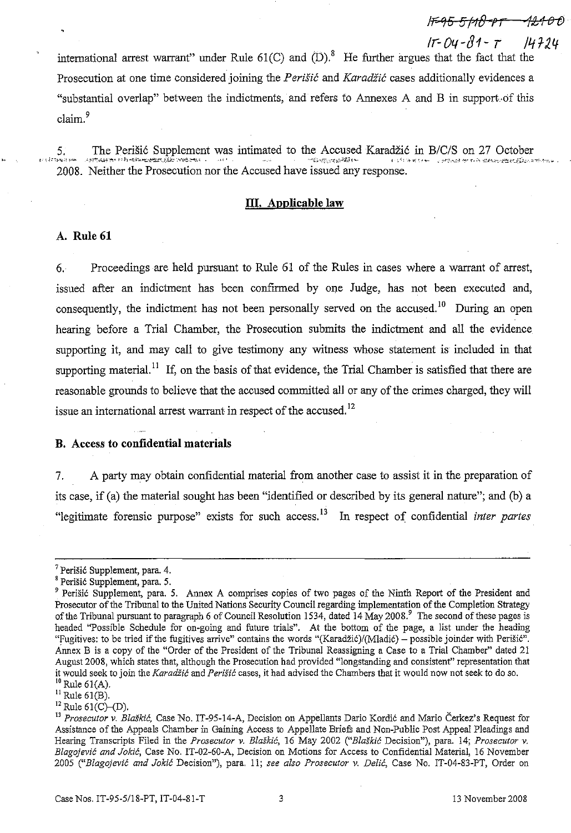international arrest warrant" under Rule  $61(C)$  and  $(D)$ .<sup>8</sup> He further argues that the fact that the Prosecution at one *time* considered joining the Perišić and Karadžić cases additionally evidences a "substantial overIap" between the indictments, and refers to Annexes A and B in support.of this claim.<sup>9</sup>

 $5.$ 2008. Neither the Prosecution nor the Accused have issued any response. The Perišić Supplement was intimated to the Accused Karadžić in *B/CIS* on 27 October ~.f-,-:oU~ ">"lO nh -~'.i'-"'-~~.Jj.~..."f(,~':,.~.1.<. ", • .•.... .. ,>;-.~",,,,,;.,--.~;.;;;;:] p.. { ..:": A· "'...' ~~ .' ,,..,.:~;~,;,t '''<- f. *-i."* ""J:".\_-o\_,"'::'l:.J:'.k;:"';;.", "'''''''~',~....

### **III.** Applicable law

### A. Rule 61

6. Proceedings are held pursuant to Rule 61 of the Rules in cases where a warrant of arrest, issued after an indictment has been confirmed by one Judge, has not been executed and, consequently, the indictment has not been personally served on the accused.<sup>10</sup> During an open hearing before a Trial Chamber, the Prosecution submits the indictment and all the evidence supporting it, and may call to give testimony any witness whose statement is included in that supporting material.<sup>11</sup> If, on the basis of that evidence, the Trial Chamber is satisfied that there are reasonable grounds to believe that the accused committed all or any of the crimes charged, they will issue an international arrest warrant in respect of the accused.<sup>12</sup>

#### B. Access to confidential materials

7. A party may obtain confidential material from another case to assist it in the preparation of its case, if (a) the material sought has been "identified or described by its general nature"; and (b) a "legitimate forensic purpose" exists for such access.<sup>13</sup> In respect of confidential *inter partes* 

IF-95-5118-PT -

*Ir-Oq-IJ1-* T */412.4*

<sup>7</sup> Perišić Supplement, para. 4.

<sup>&</sup>lt;sup>8</sup> Perišić Supplement, para. 5.

<sup>&</sup>lt;sup>9</sup> Perišić Supplement, para. 5. Annex A comprises copies of two pages of the Ninth Report of the President and Prosecutor of the Tribunal to the United Nations Security Council regarding implementation of the Completion Strategy of the Tribunal pursuant to paragraph 6 of Council Resolution 1534, dated 14 May 2008.<sup>9</sup> The second of these pages is headed "Possible Schedule for on-going and future trials". At the bottom of the page, a list under the heading "Fugitives: to be tried if the fugitives arrive" contains the words "(Karadžić)/(Mladić) – possible joinder with Perišić". Annex B is a copy of the "Order of the President of the Tribunal Reassigning a Case to a Trial Chamber" dated 21 August 2008, which states that, although the Prosecution had provided "longstanding and consistent" representation that it would seek to join the Karadžić and Perišić cases, it had advised the Chambers that it would now not seek to do so.  $10$  Rule 61(A).

 $^{11}$  Rule 61(B).

 $12$  Rule 61(C)-(D).

<sup>13</sup> *Prosecutor* v. Blaškić, Case No. IT-95-14-A, Decision on Appellants Dario Kordić and Mario Čerkez's Request for Assistance of the Appeals Chamber in Gaining Access to Appellate Briefs and Non-Public Post Appeal Pleadings and Hearing Transcripts Filed in the *Prosecutor* v. Blaškić, 16 May 2002 ("Blaškić Decision"), para. 14; *Prosecutor* v. Blagojević *and* Jokić, Case No. IT-02-60-A, Decision on Motions for Access to Confidential Material, 16 November *2005* ("Blagojević *and* Jokić Decision"), para, 11; *see also Prosecutor* v. Delić, Case No. IT-04-83-PT, Order on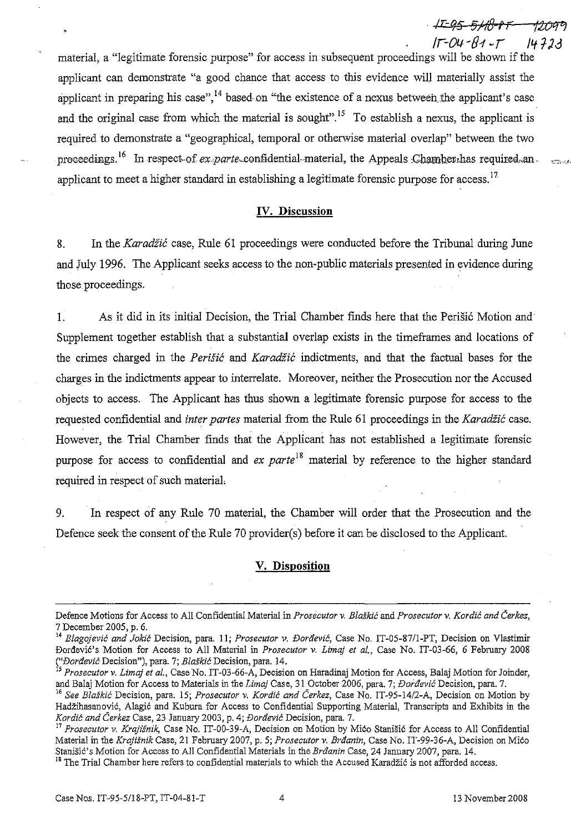/r-OI.l-81-T **/41-Jj** material, a "legitimate forensic purpose" for access in subsequent proceedings will be shown if the applicant can demonstrate "a good chance that access to this evidence will materially assist the applicant in preparing his case",  $^{14}$  based on "the existence of a nexus between the applicant's case and the original case from which the material is sought".<sup>15</sup> To establish a nexus, the applicant is required to demonstrate a "geographical, temporal or otherwise material overiap" between the two proceedings.<sup>16</sup> In respect-of ex.parte-confidential-material, the Appeals Chamber, has required, an. applicant to meet a higher standard in establishing a legitimate forensic purpose for access.<sup>17</sup>

#### **IV. Discussion**

8. In the Karadžić case, Rule 61 proceedings were conducted before the Tribunal during June and July 1996. The Applicant seeks access to the non-public materials presented in evidence during those proceedings.

l. As it did in its initial Decision, the Trial Chamber finds here that the Perišić Motion and Supplement together establish that a substantial overlap exists in the timeframes and locations of the crimes charged in the *Perišić* and *Karadžić* indictments, and that the factual bases for the charges in the indictments appear to interrelate. Moreover, neither the Prosecution nor the Accused objects to access. The Applicant has thus shown a legitimate forensic purpose for access to the requested confidential and *inter partes* material from the Rule 61 proceedings in the Karadžić case. However, the Trial Chamber finds that the Applicant has not established a legitimate forensic purpose for access to confidential and *ex parte*<sup>18</sup> material by reference to the higher standard required in respect of such material.

9. In respect of any Rule 70 material, the Chamber will order that the Prosecution and the Defence seek the consent of the Rule 70 provider(s) before it can be disclosed to the Applicant.

## **V. Disposition**

Defence Motions for Access to All Confidential Material in *Prosecutor* v. Blaškić and *Prosecutar* v. Kordić *and* Čerkez, 7 December 2005, p. 6.

<sup>14</sup> Blagojević *and* Jokić Decision, para. ll; *Prosecutor v.* Đorđević, Case No. IT-05-871I-PT, Decision on Vlastimir Đorđević's Motion for Access to All Material in *Prosecutor* v. *Limaj et al.,* Case No. IT-03-66, 6 February 2008 ("*Đorđević* Decision"), para. 7; *Blaškić* Decision, para. 14.

<sup>15</sup>*Prosecutor* v. *Limaj et al.,* Case No. IT-03-66-A, Decision on Haradinaj Motion for Access, Balaj Motion for Joinder, and Balaj Motion for Access to Materials in the *Limaj* Case, 31 October 2006, para. 7; Đorđević Decision, para. 7.

J6 *See* Blaškić Decision, para. 15; *Prosecutor* v. Kordić *and* Čerkez, Case No. IT-95-14/2-A, Decision on Motion by Hadžihasanović, Alagić and Kubura for Access to Confidential Supporting Material, Transcripts and Exhibits in the Kordić *and* Čerkez Case, 23 January 2003, p. 4; Đorđević Decision, para. 7.

<sup>17</sup> *Prosecutor* v. *Krajišnik,* Case No. IT-00-39-A, Decision on Motion by Mićo Stanišić for Access to All Confidential Material in the *Krajišnik* Case, 21 February 2007, p. 5; *Prosecutor* v. Brđanin, Case No. IT-99-36-A, Decision on Mićo Stanišić's Motion for Access to All Confidential Materials in the Brđanin Case, 24 January 2007, para. 14.

<sup>&</sup>lt;sup>18</sup> The Trial Chamber here refers to confidential materials to which the Accused Karadžić is not afforded access.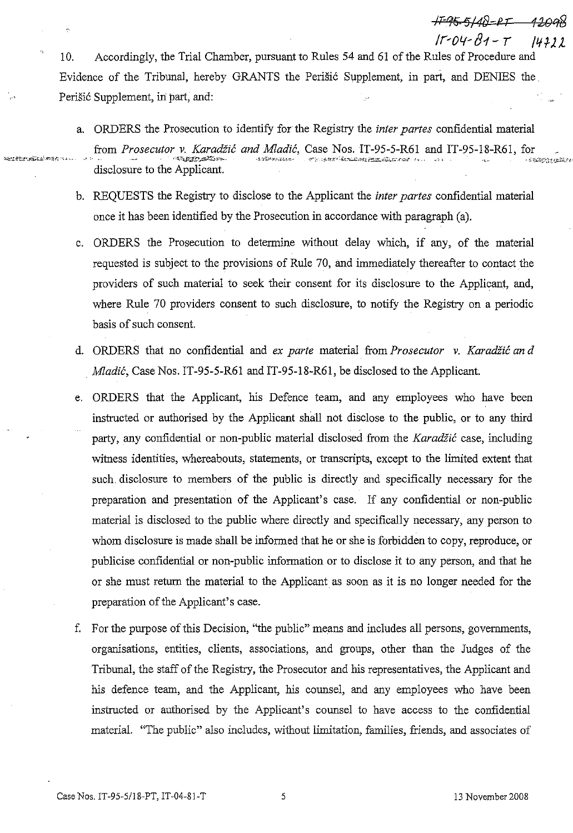Accordingly, the Trial Chamber, pursuant to Rules 54 and 61 of the Rules of Procedure and  $10.$ Evidence of the Tribunal, hereby GRANTS the Perišić Supplement, in part, and DENIES the Perišić Supplement, in part, and:

- a. ORDERS the Prosecution to identify for the Registry the *inter partes* confidential material from Prosecutor v. Karadžić and Mladić, Case Nos. IT-95-5-R61 and IT-95-18-R61, for AUTOMOREEN -CHIMILIAN disclosure to the Applicant.
- b. REOUESTS the Registry to disclose to the Applicant the *inter partes* confidential material once it has been identified by the Prosecution in accordance with paragraph (a).
- c. ORDERS the Prosecution to determine without delay which, if any, of the material requested is subject to the provisions of Rule 70, and immediately thereafter to contact the providers of such material to seek their consent for its disclosure to the Applicant, and, where Rule 70 providers consent to such disclosure, to notify the Registry on a periodic basis of such consent.
- d. ORDERS that no confidential and ex parte material from Prosecutor v. Karadžić and *Mladić*, Case Nos. IT-95-5-R61 and IT-95-18-R61, be disclosed to the Applicant.
- ORDERS that the Applicant, his Defence team, and any employees who have been e. instructed or authorised by the Applicant shall not disclose to the public, or to any third party, any confidential or non-public material disclosed from the Karadžić case, including witness identities, whereabouts, statements, or transcripts, except to the limited extent that such disclosure to members of the public is directly and specifically necessary for the preparation and presentation of the Applicant's case. If any confidential or non-public material is disclosed to the public where directly and specifically necessary, any person to whom disclosure is made shall be informed that he or she is forbidden to copy, reproduce, or publicise confidential or non-public information or to disclose it to any person, and that he or she must return the material to the Applicant as soon as it is no longer needed for the preparation of the Applicant's case.
- f. For the purpose of this Decision, "the public" means and includes all persons, governments, organisations, entities, clients, associations, and groups, other than the Judges of the Tribunal, the staff of the Registry, the Prosecutor and his representatives, the Applicant and his defence team, and the Applicant, his counsel, and any employees who have been instructed or authorised by the Applicant's counsel to have access to the confidential material. "The public" also includes, without limitation, families, friends, and associates of

 $\epsilon_1$ 

eredikten

-F-95-5148-RT  $11 - 04 - 81 - 7$